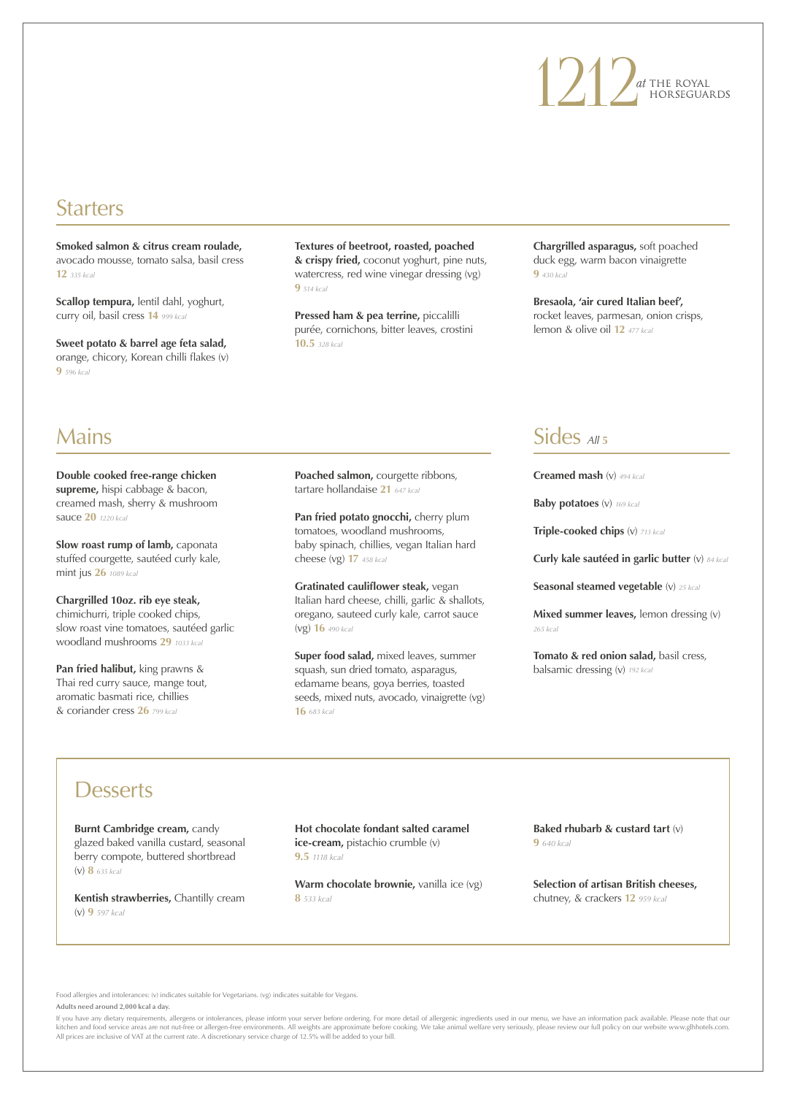# 1 21 Dat THE ROYAL

## **Starters**

**Smoked salmon & citrus cream roulade,**  avocado mousse, tomato salsa, basil cress **12** *335 kcal*

**Scallop tempura,** lentil dahl, yoghurt, curry oil, basil cress **14** *999 kcal*

**Sweet potato & barrel age feta salad,**  orange, chicory, Korean chilli flakes (v) **9** *596 kcal*

**Textures of beetroot, roasted, poached & crispy fried,** coconut yoghurt, pine nuts, watercress, red wine vinegar dressing (vg) **9** *514 kcal*

**Pressed ham & pea terrine,** piccalilli purée, cornichons, bitter leaves, crostini **10.5** *328 kcal*

**Chargrilled asparagus,** soft poached duck egg, warm bacon vinaigrette **9** *430 kcal*

**Bresaola, 'air cured Italian beef',**  rocket leaves, parmesan, onion crisps, lemon & olive oil **12** *477 kcal*

## Mains

**Double cooked free-range chicken supreme,** hispi cabbage & bacon, creamed mash, sherry & mushroom sauce **20** *1220 kcal*

**Slow roast rump of lamb, caponata** stuffed courgette, sautéed curly kale, mint jus **26** *1089 kcal*

**Chargrilled 10oz. rib eye steak,**  chimichurri, triple cooked chips, slow roast vine tomatoes, sautéed garlic woodland mushrooms **29** *1033 kcal*

**Pan fried halibut,** king prawns & Thai red curry sauce, mange tout, aromatic basmati rice, chillies & coriander cress **26** *799 kcal*

**Poached salmon,** courgette ribbons, tartare hollandaise **21** *647 kcal*

Pan fried potato gnocchi, cherry plum tomatoes, woodland mushrooms, baby spinach, chillies, vegan Italian hard cheese (vg) **17** *458 kcal*

**Gratinated cauliflower steak,** vegan Italian hard cheese, chilli, garlic & shallots, oregano, sauteed curly kale, carrot sauce (vg) **16** *490 kcal*

**Super food salad,** mixed leaves, summer squash, sun dried tomato, asparagus, edamame beans, goya berries, toasted seeds, mixed nuts, avocado, vinaigrette (vg) **16** *683 kcal*

## Sides *All* **<sup>5</sup>**

**Creamed mash** (v) *494 kcal*

**Baby potatoes** (v) *169 kcal*

**Triple-cooked chips** (v) *713 kcal*

**Curly kale sautéed in garlic butter** (v) *84 kcal*

**Seasonal steamed vegetable** (v) *25 kcal*

**Mixed summer leaves, lemon dressing (v)** *265 kcal*

**Tomato & red onion salad, basil cress,** balsamic dressing (v) *192 kcal*

## **Desserts**

**Burnt Cambridge cream, candy** glazed baked vanilla custard, seasonal berry compote, buttered shortbread (v) **8** *635 kcal*

**Kentish strawberries,** Chantilly cream (v) **9** *597 kcal*

**Hot chocolate fondant salted caramel ice-cream,** pistachio crumble (v) **9.5** *1118 kcal*

**Warm chocolate brownie,** vanilla ice (vg) **8** *533 kcal*

**Baked rhubarb & custard tart** (v) **9** *640 kcal*

**Selection of artisan British cheeses,**  chutney, & crackers **12** *959 kcal*

Food allergies and intolerances: (v) indicates suitable for Vegetarians. (vg) indicates suitable for Vegans. **Adults need around 2,000 kcal a day.**

If you have any dietary requirements, allergens or intolerances, please inform your server before ordering. For more detail of allergenic ingredients used in our menu, we have an information pack available. Please note tha kitchen and food service areas are not nut-free or allergen-free environments. All weights are approximate before cooking. We take animal welfare very seriously, please review our full policy on our website www.glhhotels.c All prices are inclusive of VAT at the current rate. A discretionary service charge of 12.5% will be added to your bill.